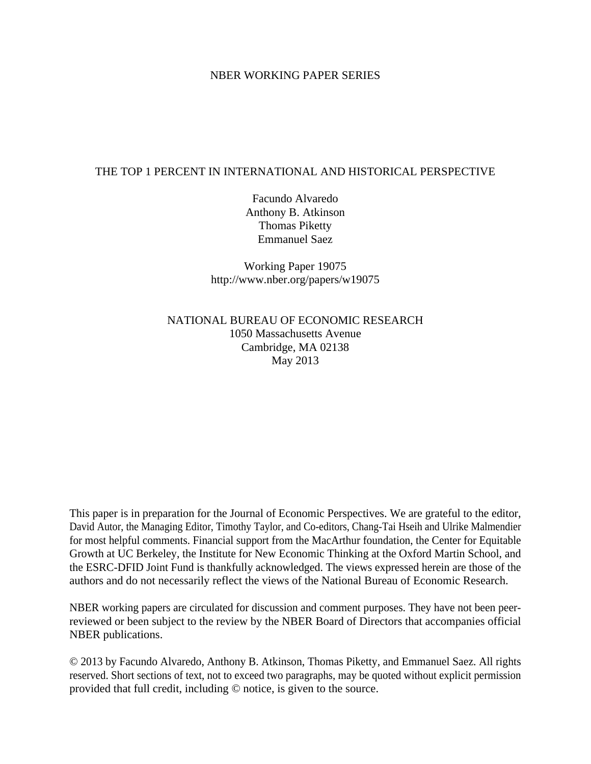## NBER WORKING PAPER SERIES

# THE TOP 1 PERCENT IN INTERNATIONAL AND HISTORICAL PERSPECTIVE

Facundo Alvaredo Anthony B. Atkinson Thomas Piketty Emmanuel Saez

Working Paper 19075 http://www.nber.org/papers/w19075

NATIONAL BUREAU OF ECONOMIC RESEARCH 1050 Massachusetts Avenue Cambridge, MA 02138 May 2013

This paper is in preparation for the Journal of Economic Perspectives. We are grateful to the editor, David Autor, the Managing Editor, Timothy Taylor, and Co-editors, Chang-Tai Hseih and Ulrike Malmendier for most helpful comments. Financial support from the MacArthur foundation, the Center for Equitable Growth at UC Berkeley, the Institute for New Economic Thinking at the Oxford Martin School, and the ESRC-DFID Joint Fund is thankfully acknowledged. The views expressed herein are those of the authors and do not necessarily reflect the views of the National Bureau of Economic Research.

NBER working papers are circulated for discussion and comment purposes. They have not been peerreviewed or been subject to the review by the NBER Board of Directors that accompanies official NBER publications.

© 2013 by Facundo Alvaredo, Anthony B. Atkinson, Thomas Piketty, and Emmanuel Saez. All rights reserved. Short sections of text, not to exceed two paragraphs, may be quoted without explicit permission provided that full credit, including © notice, is given to the source.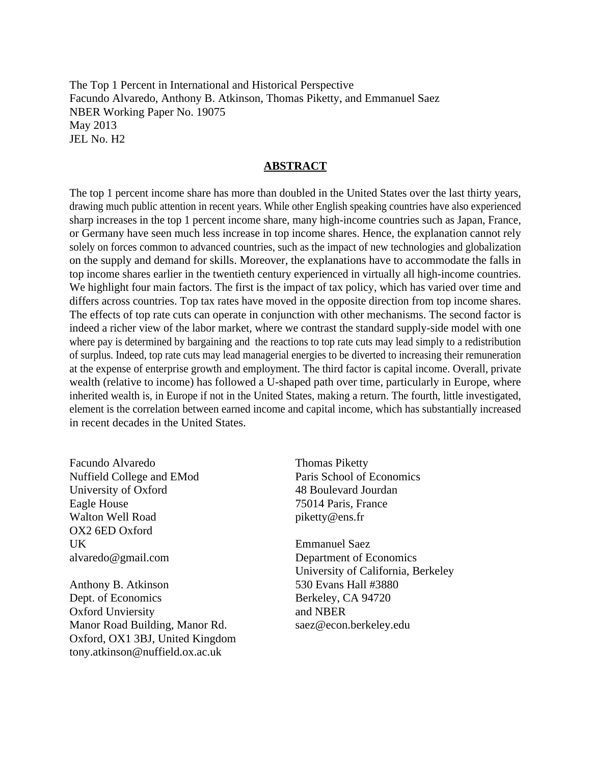The Top 1 Percent in International and Historical Perspective Facundo Alvaredo, Anthony B. Atkinson, Thomas Piketty, and Emmanuel Saez NBER Working Paper No. 19075 May 2013 JEL No. H2

## **ABSTRACT**

The top 1 percent income share has more than doubled in the United States over the last thirty years, drawing much public attention in recent years. While other English speaking countries have also experienced sharp increases in the top 1 percent income share, many high-income countries such as Japan, France, or Germany have seen much less increase in top income shares. Hence, the explanation cannot rely solely on forces common to advanced countries, such as the impact of new technologies and globalization on the supply and demand for skills. Moreover, the explanations have to accommodate the falls in top income shares earlier in the twentieth century experienced in virtually all high-income countries. We highlight four main factors. The first is the impact of tax policy, which has varied over time and differs across countries. Top tax rates have moved in the opposite direction from top income shares. The effects of top rate cuts can operate in conjunction with other mechanisms. The second factor is indeed a richer view of the labor market, where we contrast the standard supply-side model with one where pay is determined by bargaining and the reactions to top rate cuts may lead simply to a redistribution of surplus. Indeed, top rate cuts may lead managerial energies to be diverted to increasing their remuneration at the expense of enterprise growth and employment. The third factor is capital income. Overall, private wealth (relative to income) has followed a U-shaped path over time, particularly in Europe, where inherited wealth is, in Europe if not in the United States, making a return. The fourth, little investigated, element is the correlation between earned income and capital income, which has substantially increased in recent decades in the United States.

Facundo Alvaredo Nuffield College and EMod University of Oxford Eagle House Walton Well Road OX2 6ED Oxford UK alvaredo@gmail.com

Anthony B. Atkinson Dept. of Economics Oxford Unviersity Manor Road Building, Manor Rd. Oxford, OX1 3BJ, United Kingdom tony.atkinson@nuffield.ox.ac.uk

Thomas Piketty Paris School of Economics 48 Boulevard Jourdan 75014 Paris, France piketty@ens.fr

Emmanuel Saez Department of Economics University of California, Berkeley 530 Evans Hall #3880 Berkeley, CA 94720 and NBER saez@econ.berkeley.edu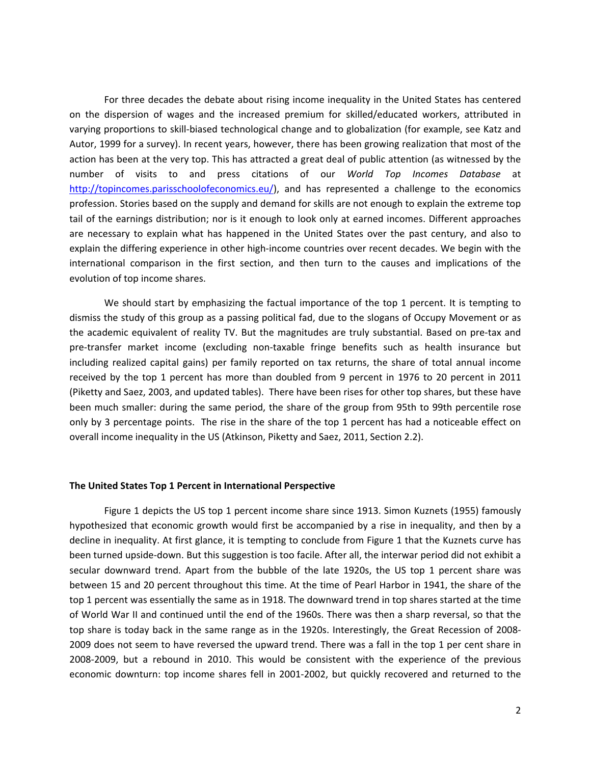For three decades the debate about rising income inequality in the United States has centered on the dispersion of wages and the increased premium for skilled/educated workers, attributed in varying proportions to skill‐biased technological change and to globalization (for example, see Katz and Autor, 1999 for a survey). In recent years, however, there has been growing realization that most of the action has been at the very top. This has attracted a great deal of public attention (as witnessed by the number of visits to and press citations of our *World Top Incomes Database* at http://topincomes.parisschoolofeconomics.eu/), and has represented a challenge to the economics profession. Stories based on the supply and demand for skills are not enough to explain the extreme top tail of the earnings distribution; nor is it enough to look only at earned incomes. Different approaches are necessary to explain what has happened in the United States over the past century, and also to explain the differing experience in other high‐income countries over recent decades. We begin with the international comparison in the first section, and then turn to the causes and implications of the evolution of top income shares.

We should start by emphasizing the factual importance of the top 1 percent. It is tempting to dismiss the study of this group as a passing political fad, due to the slogans of Occupy Movement or as the academic equivalent of reality TV. But the magnitudes are truly substantial. Based on pre‐tax and pre‐transfer market income (excluding non‐taxable fringe benefits such as health insurance but including realized capital gains) per family reported on tax returns, the share of total annual income received by the top 1 percent has more than doubled from 9 percent in 1976 to 20 percent in 2011 (Piketty and Saez, 2003, and updated tables). There have been rises for other top shares, but these have been much smaller: during the same period, the share of the group from 95th to 99th percentile rose only by 3 percentage points. The rise in the share of the top 1 percent has had a noticeable effect on overall income inequality in the US (Atkinson, Piketty and Saez, 2011, Section 2.2).

#### **The United States Top 1 Percent in International Perspective**

Figure 1 depicts the US top 1 percent income share since 1913. Simon Kuznets (1955) famously hypothesized that economic growth would first be accompanied by a rise in inequality, and then by a decline in inequality. At first glance, it is tempting to conclude from Figure 1 that the Kuznets curve has been turned upside‐down. But this suggestion is too facile. After all, the interwar period did not exhibit a secular downward trend. Apart from the bubble of the late 1920s, the US top 1 percent share was between 15 and 20 percent throughout this time. At the time of Pearl Harbor in 1941, the share of the top 1 percent was essentially the same as in 1918. The downward trend in top shares started at the time of World War II and continued until the end of the 1960s. There was then a sharp reversal, so that the top share is today back in the same range as in the 1920s. Interestingly, the Great Recession of 2008‐ 2009 does not seem to have reversed the upward trend. There was a fall in the top 1 per cent share in 2008‐2009, but a rebound in 2010. This would be consistent with the experience of the previous economic downturn: top income shares fell in 2001-2002, but quickly recovered and returned to the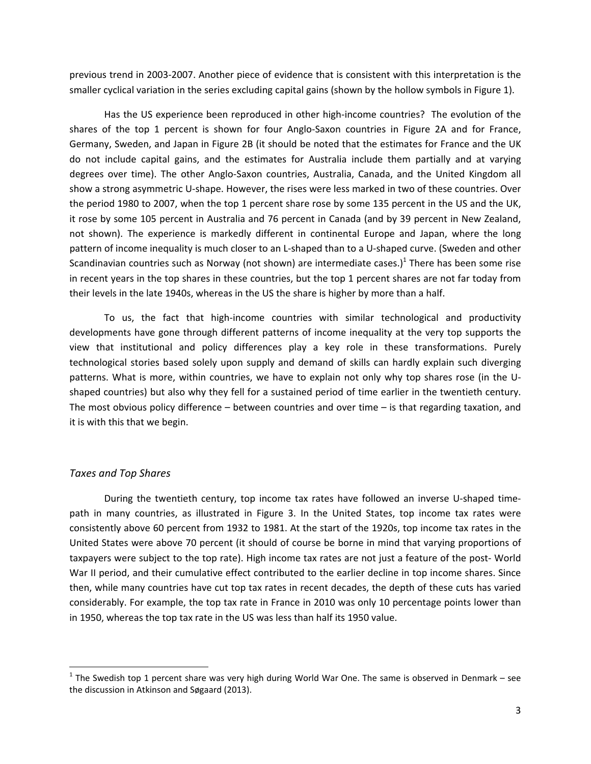previous trend in 2003‐2007. Another piece of evidence that is consistent with this interpretation is the smaller cyclical variation in the series excluding capital gains (shown by the hollow symbols in Figure 1).

Has the US experience been reproduced in other high-income countries? The evolution of the shares of the top 1 percent is shown for four Anglo‐Saxon countries in Figure 2A and for France, Germany, Sweden, and Japan in Figure 2B (it should be noted that the estimates for France and the UK do not include capital gains, and the estimates for Australia include them partially and at varying degrees over time). The other Anglo‐Saxon countries, Australia, Canada, and the United Kingdom all show a strong asymmetric U‐shape. However, the rises were less marked in two of these countries. Over the period 1980 to 2007, when the top 1 percent share rose by some 135 percent in the US and the UK, it rose by some 105 percent in Australia and 76 percent in Canada (and by 39 percent in New Zealand, not shown). The experience is markedly different in continental Europe and Japan, where the long pattern of income inequality is much closer to an L‐shaped than to a U‐shaped curve. (Sweden and other Scandinavian countries such as Norway (not shown) are intermediate cases.)<sup>1</sup> There has been some rise in recent years in the top shares in these countries, but the top 1 percent shares are not far today from their levels in the late 1940s, whereas in the US the share is higher by more than a half.

To us, the fact that high‐income countries with similar technological and productivity developments have gone through different patterns of income inequality at the very top supports the view that institutional and policy differences play a key role in these transformations. Purely technological stories based solely upon supply and demand of skills can hardly explain such diverging patterns. What is more, within countries, we have to explain not only why top shares rose (in the Ushaped countries) but also why they fell for a sustained period of time earlier in the twentieth century. The most obvious policy difference – between countries and over time – is that regarding taxation, and it is with this that we begin.

## *Taxes and Top Shares*

During the twentieth century, top income tax rates have followed an inverse U‐shaped time‐ path in many countries, as illustrated in Figure 3. In the United States, top income tax rates were consistently above 60 percent from 1932 to 1981. At the start of the 1920s, top income tax rates in the United States were above 70 percent (it should of course be borne in mind that varying proportions of taxpayers were subject to the top rate). High income tax rates are not just a feature of the post‐ World War II period, and their cumulative effect contributed to the earlier decline in top income shares. Since then, while many countries have cut top tax rates in recent decades, the depth of these cuts has varied considerably. For example, the top tax rate in France in 2010 was only 10 percentage points lower than in 1950, whereas the top tax rate in the US was less than half its 1950 value.

 $1$  The Swedish top 1 percent share was very high during World War One. The same is observed in Denmark – see the discussion in Atkinson and Søgaard (2013).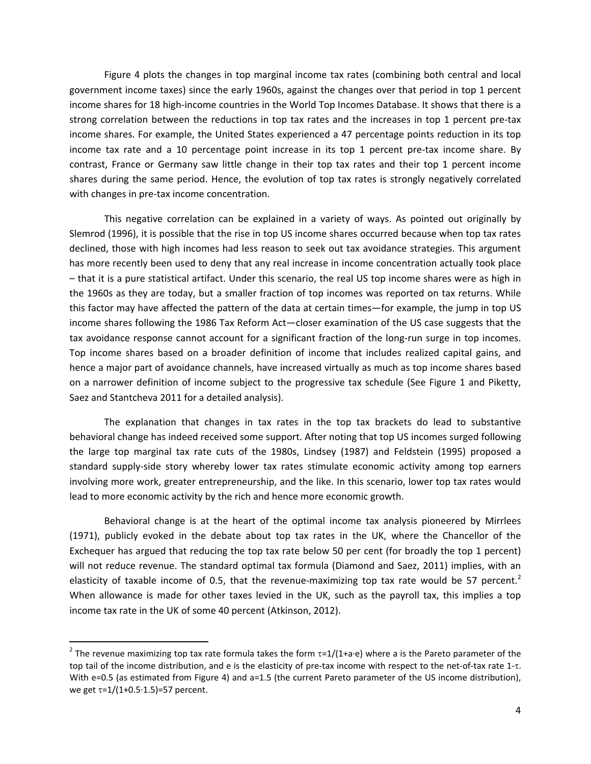Figure 4 plots the changes in top marginal income tax rates (combining both central and local government income taxes) since the early 1960s, against the changes over that period in top 1 percent income shares for 18 high-income countries in the World Top Incomes Database. It shows that there is a strong correlation between the reductions in top tax rates and the increases in top 1 percent pre-tax income shares. For example, the United States experienced a 47 percentage points reduction in its top income tax rate and a 10 percentage point increase in its top 1 percent pre‐tax income share. By contrast, France or Germany saw little change in their top tax rates and their top 1 percent income shares during the same period. Hence, the evolution of top tax rates is strongly negatively correlated with changes in pre-tax income concentration.

This negative correlation can be explained in a variety of ways. As pointed out originally by Slemrod (1996), it is possible that the rise in top US income shares occurred because when top tax rates declined, those with high incomes had less reason to seek out tax avoidance strategies. This argument has more recently been used to deny that any real increase in income concentration actually took place – that it is a pure statistical artifact. Under this scenario, the real US top income shares were as high in the 1960s as they are today, but a smaller fraction of top incomes was reported on tax returns. While this factor may have affected the pattern of the data at certain times—for example, the jump in top US income shares following the 1986 Tax Reform Act—closer examination of the US case suggests that the tax avoidance response cannot account for a significant fraction of the long-run surge in top incomes. Top income shares based on a broader definition of income that includes realized capital gains, and hence a major part of avoidance channels, have increased virtually as much as top income shares based on a narrower definition of income subject to the progressive tax schedule (See Figure 1 and Piketty, Saez and Stantcheva 2011 for a detailed analysis).

The explanation that changes in tax rates in the top tax brackets do lead to substantive behavioral change has indeed received some support. After noting that top US incomes surged following the large top marginal tax rate cuts of the 1980s, Lindsey (1987) and Feldstein (1995) proposed a standard supply‐side story whereby lower tax rates stimulate economic activity among top earners involving more work, greater entrepreneurship, and the like. In this scenario, lower top tax rates would lead to more economic activity by the rich and hence more economic growth.

Behavioral change is at the heart of the optimal income tax analysis pioneered by Mirrlees (1971), publicly evoked in the debate about top tax rates in the UK, where the Chancellor of the Exchequer has argued that reducing the top tax rate below 50 per cent (for broadly the top 1 percent) will not reduce revenue. The standard optimal tax formula (Diamond and Saez, 2011) implies, with an elasticity of taxable income of 0.5, that the revenue-maximizing top tax rate would be 57 percent.<sup>2</sup> When allowance is made for other taxes levied in the UK, such as the payroll tax, this implies a top income tax rate in the UK of some 40 percent (Atkinson, 2012).

<sup>&</sup>lt;sup>2</sup> The revenue maximizing top tax rate formula takes the form  $\tau=1/(1+a\cdot e)$  where a is the Pareto parameter of the top tail of the income distribution, and e is the elasticity of pre-tax income with respect to the net-of-tax rate 1-τ. With e=0.5 (as estimated from Figure 4) and a=1.5 (the current Pareto parameter of the US income distribution), we get τ=1/(1+0.5⋅1.5)=57 percent.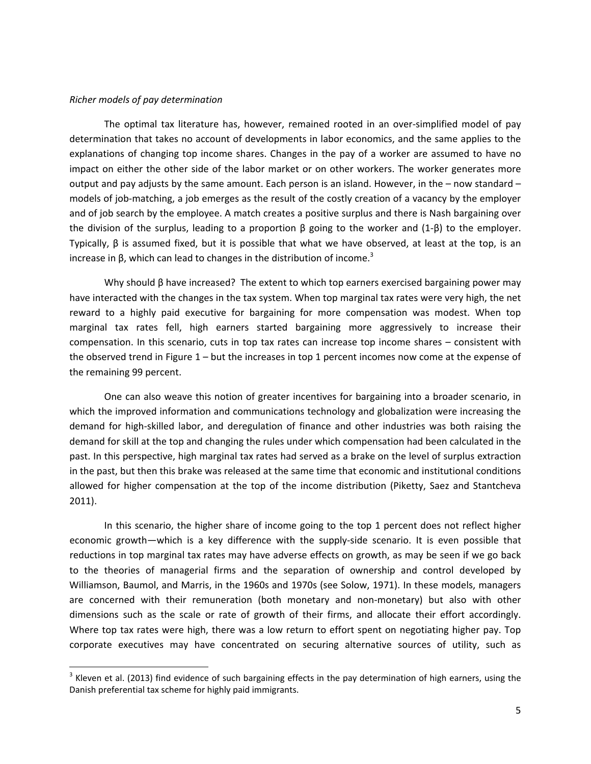#### *Richer models of pay determination*

The optimal tax literature has, however, remained rooted in an over‐simplified model of pay determination that takes no account of developments in labor economics, and the same applies to the explanations of changing top income shares. Changes in the pay of a worker are assumed to have no impact on either the other side of the labor market or on other workers. The worker generates more output and pay adjusts by the same amount. Each person is an island. However, in the – now standard – models of job-matching, a job emerges as the result of the costly creation of a vacancy by the employer and of job search by the employee. A match creates a positive surplus and there is Nash bargaining over the division of the surplus, leading to a proportion  $β$  going to the worker and  $(1-β)$  to the employer. Typically,  $β$  is assumed fixed, but it is possible that what we have observed, at least at the top, is an increase in β, which can lead to changes in the distribution of income.<sup>3</sup>

Why should β have increased? The extent to which top earners exercised bargaining power may have interacted with the changes in the tax system. When top marginal tax rates were very high, the net reward to a highly paid executive for bargaining for more compensation was modest. When top marginal tax rates fell, high earners started bargaining more aggressively to increase their compensation. In this scenario, cuts in top tax rates can increase top income shares – consistent with the observed trend in Figure  $1 -$  but the increases in top 1 percent incomes now come at the expense of the remaining 99 percent.

One can also weave this notion of greater incentives for bargaining into a broader scenario, in which the improved information and communications technology and globalization were increasing the demand for high‐skilled labor, and deregulation of finance and other industries was both raising the demand for skill at the top and changing the rules under which compensation had been calculated in the past. In this perspective, high marginal tax rates had served as a brake on the level of surplus extraction in the past, but then this brake was released at the same time that economic and institutional conditions allowed for higher compensation at the top of the income distribution (Piketty, Saez and Stantcheva 2011).

In this scenario, the higher share of income going to the top 1 percent does not reflect higher economic growth—which is a key difference with the supply‐side scenario. It is even possible that reductions in top marginal tax rates may have adverse effects on growth, as may be seen if we go back to the theories of managerial firms and the separation of ownership and control developed by Williamson, Baumol, and Marris, in the 1960s and 1970s (see Solow, 1971). In these models, managers are concerned with their remuneration (both monetary and non-monetary) but also with other dimensions such as the scale or rate of growth of their firms, and allocate their effort accordingly. Where top tax rates were high, there was a low return to effort spent on negotiating higher pay. Top corporate executives may have concentrated on securing alternative sources of utility, such as

 $3$  Kleven et al. (2013) find evidence of such bargaining effects in the pay determination of high earners, using the Danish preferential tax scheme for highly paid immigrants.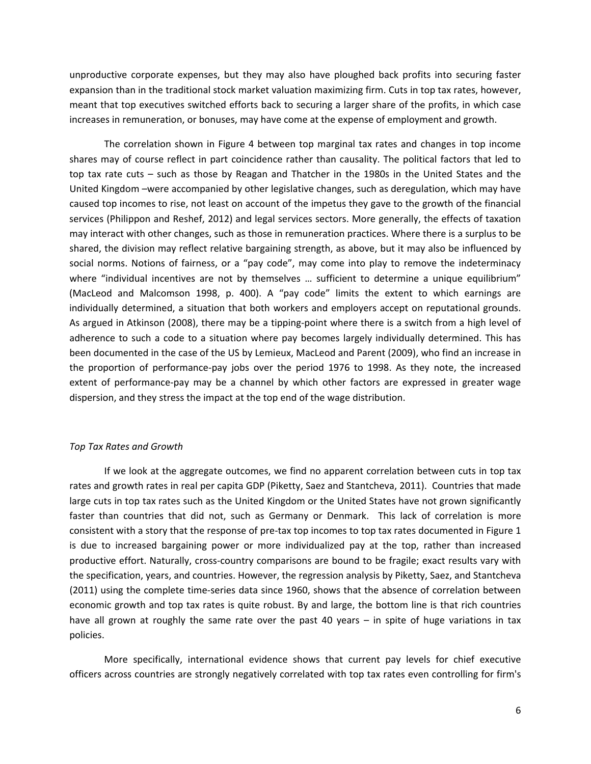unproductive corporate expenses, but they may also have ploughed back profits into securing faster expansion than in the traditional stock market valuation maximizing firm. Cuts in top tax rates, however, meant that top executives switched efforts back to securing a larger share of the profits, in which case increases in remuneration, or bonuses, may have come at the expense of employment and growth.

The correlation shown in Figure 4 between top marginal tax rates and changes in top income shares may of course reflect in part coincidence rather than causality. The political factors that led to top tax rate cuts – such as those by Reagan and Thatcher in the 1980s in the United States and the United Kingdom –were accompanied by other legislative changes, such as deregulation, which may have caused top incomes to rise, not least on account of the impetus they gave to the growth of the financial services (Philippon and Reshef, 2012) and legal services sectors. More generally, the effects of taxation may interact with other changes, such as those in remuneration practices. Where there is a surplus to be shared, the division may reflect relative bargaining strength, as above, but it may also be influenced by social norms. Notions of fairness, or a "pay code", may come into play to remove the indeterminacy where "individual incentives are not by themselves ... sufficient to determine a unique equilibrium" (MacLeod and Malcomson 1998, p. 400). A "pay code" limits the extent to which earnings are individually determined, a situation that both workers and employers accept on reputational grounds. As argued in Atkinson (2008), there may be a tipping‐point where there is a switch from a high level of adherence to such a code to a situation where pay becomes largely individually determined. This has been documented in the case of the US by Lemieux, MacLeod and Parent (2009), who find an increase in the proportion of performance‐pay jobs over the period 1976 to 1998. As they note, the increased extent of performance-pay may be a channel by which other factors are expressed in greater wage dispersion, and they stress the impact at the top end of the wage distribution.

#### *Top Tax Rates and Growth*

If we look at the aggregate outcomes, we find no apparent correlation between cuts in top tax rates and growth rates in real per capita GDP (Piketty, Saez and Stantcheva, 2011). Countries that made large cuts in top tax rates such as the United Kingdom or the United States have not grown significantly faster than countries that did not, such as Germany or Denmark. This lack of correlation is more consistent with a story that the response of pre-tax top incomes to top tax rates documented in Figure 1 is due to increased bargaining power or more individualized pay at the top, rather than increased productive effort. Naturally, cross‐country comparisons are bound to be fragile; exact results vary with the specification, years, and countries. However, the regression analysis by Piketty, Saez, and Stantcheva (2011) using the complete time‐series data since 1960, shows that the absence of correlation between economic growth and top tax rates is quite robust. By and large, the bottom line is that rich countries have all grown at roughly the same rate over the past 40 years – in spite of huge variations in tax policies.

More specifically, international evidence shows that current pay levels for chief executive officers across countries are strongly negatively correlated with top tax rates even controlling for firm's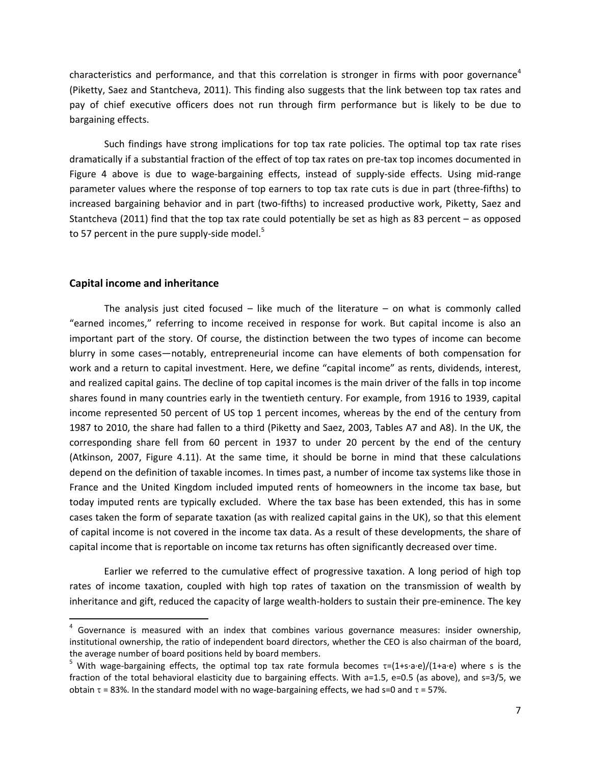characteristics and performance, and that this correlation is stronger in firms with poor governance<sup>4</sup> (Piketty, Saez and Stantcheva, 2011). This finding also suggests that the link between top tax rates and pay of chief executive officers does not run through firm performance but is likely to be due to bargaining effects.

Such findings have strong implications for top tax rate policies. The optimal top tax rate rises dramatically if a substantial fraction of the effect of top tax rates on pre‐tax top incomes documented in Figure 4 above is due to wage-bargaining effects, instead of supply-side effects. Using mid-range parameter values where the response of top earners to top tax rate cuts is due in part (three‐fifths) to increased bargaining behavior and in part (two‐fifths) to increased productive work, Piketty, Saez and Stantcheva (2011) find that the top tax rate could potentially be set as high as 83 percent – as opposed to 57 percent in the pure supply-side model. $5$ 

#### **Capital income and inheritance**

The analysis just cited focused  $-$  like much of the literature  $-$  on what is commonly called "earned incomes," referring to income received in response for work. But capital income is also an important part of the story. Of course, the distinction between the two types of income can become blurry in some cases—notably, entrepreneurial income can have elements of both compensation for work and a return to capital investment. Here, we define "capital income" as rents, dividends, interest, and realized capital gains. The decline of top capital incomes is the main driver of the falls in top income shares found in many countries early in the twentieth century. For example, from 1916 to 1939, capital income represented 50 percent of US top 1 percent incomes, whereas by the end of the century from 1987 to 2010, the share had fallen to a third (Piketty and Saez, 2003, Tables A7 and A8). In the UK, the corresponding share fell from 60 percent in 1937 to under 20 percent by the end of the century (Atkinson, 2007, Figure 4.11). At the same time, it should be borne in mind that these calculations depend on the definition of taxable incomes. In times past, a number of income tax systems like those in France and the United Kingdom included imputed rents of homeowners in the income tax base, but today imputed rents are typically excluded. Where the tax base has been extended, this has in some cases taken the form of separate taxation (as with realized capital gains in the UK), so that this element of capital income is not covered in the income tax data. As a result of these developments, the share of capital income that is reportable on income tax returns has often significantly decreased over time.

Earlier we referred to the cumulative effect of progressive taxation. A long period of high top rates of income taxation, coupled with high top rates of taxation on the transmission of wealth by inheritance and gift, reduced the capacity of large wealth‐holders to sustain their pre‐eminence. The key

 $<sup>4</sup>$  Governance is measured with an index that combines various governance measures: insider ownership,</sup> institutional ownership, the ratio of independent board directors, whether the CEO is also chairman of the board, the average number of board positions held by board members.

<sup>&</sup>lt;sup>5</sup> With wage-bargaining effects, the optimal top tax rate formula becomes  $\tau$ =(1+s∙a∙e)/(1+a∙e) where s is the fraction of the total behavioral elasticity due to bargaining effects. With a=1.5, e=0.5 (as above), and s=3/5, we obtain  $\tau$  = 83%. In the standard model with no wage-bargaining effects, we had  $s=0$  and  $\tau$  = 57%.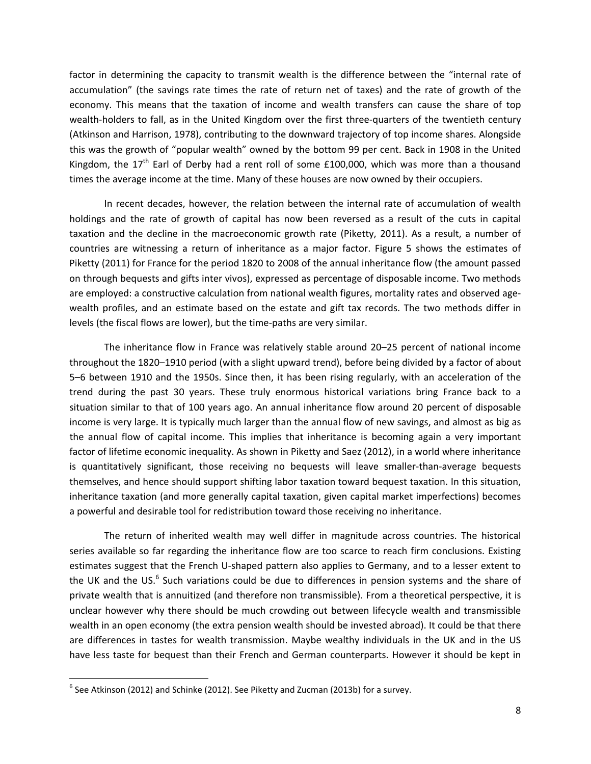factor in determining the capacity to transmit wealth is the difference between the "internal rate of accumulation" (the savings rate times the rate of return net of taxes) and the rate of growth of the economy. This means that the taxation of income and wealth transfers can cause the share of top wealth-holders to fall, as in the United Kingdom over the first three-quarters of the twentieth century (Atkinson and Harrison, 1978), contributing to the downward trajectory of top income shares. Alongside this was the growth of "popular wealth" owned by the bottom 99 per cent. Back in 1908 in the United Kingdom, the  $17<sup>th</sup>$  Earl of Derby had a rent roll of some £100,000, which was more than a thousand times the average income at the time. Many of these houses are now owned by their occupiers.

In recent decades, however, the relation between the internal rate of accumulation of wealth holdings and the rate of growth of capital has now been reversed as a result of the cuts in capital taxation and the decline in the macroeconomic growth rate (Piketty, 2011). As a result, a number of countries are witnessing a return of inheritance as a major factor. Figure 5 shows the estimates of Piketty (2011) for France for the period 1820 to 2008 of the annual inheritance flow (the amount passed on through bequests and gifts inter vivos), expressed as percentage of disposable income. Two methods are employed: a constructive calculation from national wealth figures, mortality rates and observed agewealth profiles, and an estimate based on the estate and gift tax records. The two methods differ in levels (the fiscal flows are lower), but the time‐paths are very similar.

The inheritance flow in France was relatively stable around 20–25 percent of national income throughout the 1820–1910 period (with a slight upward trend), before being divided by a factor of about 5–6 between 1910 and the 1950s. Since then, it has been rising regularly, with an acceleration of the trend during the past 30 years. These truly enormous historical variations bring France back to a situation similar to that of 100 years ago. An annual inheritance flow around 20 percent of disposable income is very large. It is typically much larger than the annual flow of new savings, and almost as big as the annual flow of capital income. This implies that inheritance is becoming again a very important factor of lifetime economic inequality. As shown in Piketty and Saez (2012), in a world where inheritance is quantitatively significant, those receiving no bequests will leave smaller-than-average bequests themselves, and hence should support shifting labor taxation toward bequest taxation. In this situation, inheritance taxation (and more generally capital taxation, given capital market imperfections) becomes a powerful and desirable tool for redistribution toward those receiving no inheritance.

The return of inherited wealth may well differ in magnitude across countries. The historical series available so far regarding the inheritance flow are too scarce to reach firm conclusions. Existing estimates suggest that the French U-shaped pattern also applies to Germany, and to a lesser extent to the UK and the US.<sup>6</sup> Such variations could be due to differences in pension systems and the share of private wealth that is annuitized (and therefore non transmissible). From a theoretical perspective, it is unclear however why there should be much crowding out between lifecycle wealth and transmissible wealth in an open economy (the extra pension wealth should be invested abroad). It could be that there are differences in tastes for wealth transmission. Maybe wealthy individuals in the UK and in the US have less taste for bequest than their French and German counterparts. However it should be kept in

 $^6$  See Atkinson (2012) and Schinke (2012). See Piketty and Zucman (2013b) for a survey.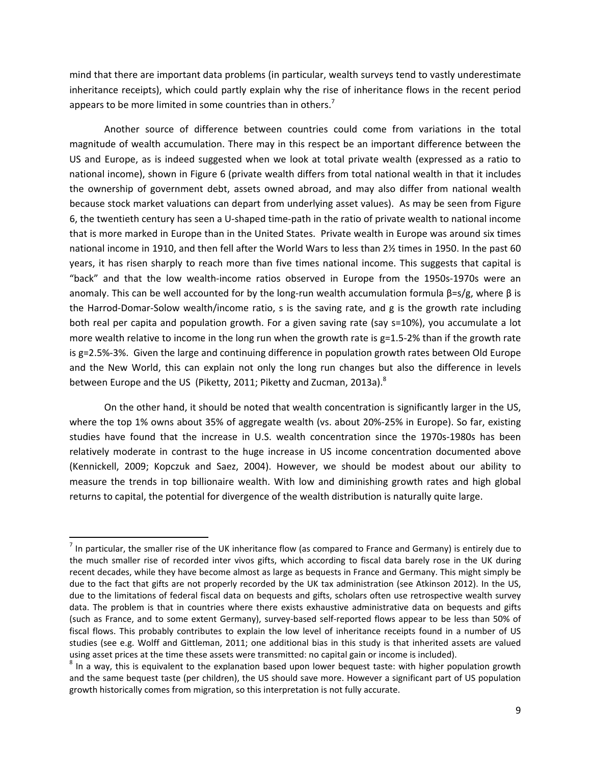mind that there are important data problems (in particular, wealth surveys tend to vastly underestimate inheritance receipts), which could partly explain why the rise of inheritance flows in the recent period appears to be more limited in some countries than in others.<sup>7</sup>

Another source of difference between countries could come from variations in the total magnitude of wealth accumulation. There may in this respect be an important difference between the US and Europe, as is indeed suggested when we look at total private wealth (expressed as a ratio to national income), shown in Figure 6 (private wealth differs from total national wealth in that it includes the ownership of government debt, assets owned abroad, and may also differ from national wealth because stock market valuations can depart from underlying asset values). As may be seen from Figure 6, the twentieth century has seen a U‐shaped time‐path in the ratio of private wealth to national income that is more marked in Europe than in the United States. Private wealth in Europe was around six times national income in 1910, and then fell after the World Wars to less than 2½ times in 1950. In the past 60 years, it has risen sharply to reach more than five times national income. This suggests that capital is "back" and that the low wealth‐income ratios observed in Europe from the 1950s‐1970s were an anomaly. This can be well accounted for by the long-run wealth accumulation formula  $\beta = s/g$ , where  $\beta$  is the Harrod‐Domar‐Solow wealth/income ratio, s is the saving rate, and g is the growth rate including both real per capita and population growth. For a given saving rate (say s=10%), you accumulate a lot more wealth relative to income in the long run when the growth rate is  $g=1.5-2%$  than if the growth rate is g=2.5%‐3%. Given the large and continuing difference in population growth rates between Old Europe and the New World, this can explain not only the long run changes but also the difference in levels between Europe and the US (Piketty, 2011; Piketty and Zucman, 2013a).<sup>8</sup>

On the other hand, it should be noted that wealth concentration is significantly larger in the US, where the top 1% owns about 35% of aggregate wealth (vs. about 20%‐25% in Europe). So far, existing studies have found that the increase in U.S. wealth concentration since the 1970s‐1980s has been relatively moderate in contrast to the huge increase in US income concentration documented above (Kennickell, 2009; Kopczuk and Saez, 2004). However, we should be modest about our ability to measure the trends in top billionaire wealth. With low and diminishing growth rates and high global returns to capital, the potential for divergence of the wealth distribution is naturally quite large.

 $<sup>7</sup>$  In particular, the smaller rise of the UK inheritance flow (as compared to France and Germany) is entirely due to</sup> the much smaller rise of recorded inter vivos gifts, which according to fiscal data barely rose in the UK during recent decades, while they have become almost as large as bequests in France and Germany. This might simply be due to the fact that gifts are not properly recorded by the UK tax administration (see Atkinson 2012). In the US, due to the limitations of federal fiscal data on bequests and gifts, scholars often use retrospective wealth survey data. The problem is that in countries where there exists exhaustive administrative data on bequests and gifts (such as France, and to some extent Germany), survey‐based self‐reported flows appear to be less than 50% of fiscal flows. This probably contributes to explain the low level of inheritance receipts found in a number of US studies (see e.g. Wolff and Gittleman, 2011; one additional bias in this study is that inherited assets are valued using asset prices at the time these assets were transmitted: no capital gain or income is included).<br><sup>8</sup> In a way, this is equivalent to the explanation based upon lower bequest taste: with higher population growth

and the same bequest taste (per children), the US should save more. However a significant part of US population growth historically comes from migration, so this interpretation is not fully accurate.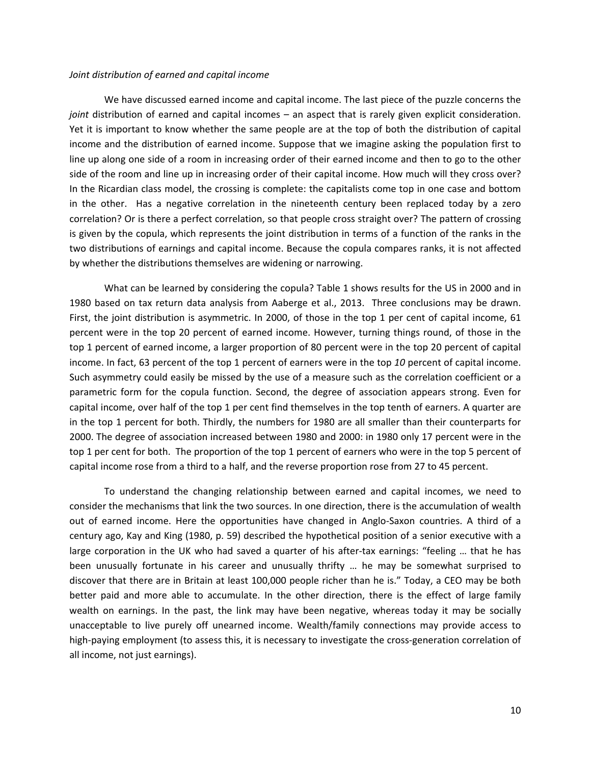#### *Joint distribution of earned and capital income*

We have discussed earned income and capital income. The last piece of the puzzle concerns the *joint* distribution of earned and capital incomes – an aspect that is rarely given explicit consideration. Yet it is important to know whether the same people are at the top of both the distribution of capital income and the distribution of earned income. Suppose that we imagine asking the population first to line up along one side of a room in increasing order of their earned income and then to go to the other side of the room and line up in increasing order of their capital income. How much will they cross over? In the Ricardian class model, the crossing is complete: the capitalists come top in one case and bottom in the other. Has a negative correlation in the nineteenth century been replaced today by a zero correlation? Or is there a perfect correlation, so that people cross straight over? The pattern of crossing is given by the copula, which represents the joint distribution in terms of a function of the ranks in the two distributions of earnings and capital income. Because the copula compares ranks, it is not affected by whether the distributions themselves are widening or narrowing.

What can be learned by considering the copula? Table 1 shows results for the US in 2000 and in 1980 based on tax return data analysis from Aaberge et al., 2013. Three conclusions may be drawn. First, the joint distribution is asymmetric. In 2000, of those in the top 1 per cent of capital income, 61 percent were in the top 20 percent of earned income. However, turning things round, of those in the top 1 percent of earned income, a larger proportion of 80 percent were in the top 20 percent of capital income. In fact, 63 percent of the top 1 percent of earners were in the top *10* percent of capital income. Such asymmetry could easily be missed by the use of a measure such as the correlation coefficient or a parametric form for the copula function. Second, the degree of association appears strong. Even for capital income, over half of the top 1 per cent find themselves in the top tenth of earners. A quarter are in the top 1 percent for both. Thirdly, the numbers for 1980 are all smaller than their counterparts for 2000. The degree of association increased between 1980 and 2000: in 1980 only 17 percent were in the top 1 per cent for both. The proportion of the top 1 percent of earners who were in the top 5 percent of capital income rose from a third to a half, and the reverse proportion rose from 27 to 45 percent.

To understand the changing relationship between earned and capital incomes, we need to consider the mechanisms that link the two sources. In one direction, there is the accumulation of wealth out of earned income. Here the opportunities have changed in Anglo‐Saxon countries. A third of a century ago, Kay and King (1980, p. 59) described the hypothetical position of a senior executive with a large corporation in the UK who had saved a quarter of his after-tax earnings: "feeling ... that he has been unusually fortunate in his career and unusually thrifty … he may be somewhat surprised to discover that there are in Britain at least 100,000 people richer than he is." Today, a CEO may be both better paid and more able to accumulate. In the other direction, there is the effect of large family wealth on earnings. In the past, the link may have been negative, whereas today it may be socially unacceptable to live purely off unearned income. Wealth/family connections may provide access to high-paying employment (to assess this, it is necessary to investigate the cross-generation correlation of all income, not just earnings).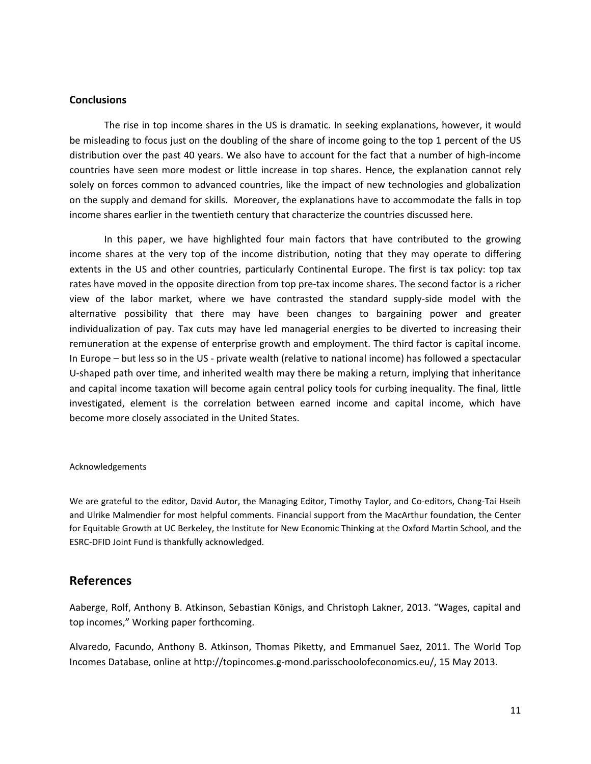## **Conclusions**

The rise in top income shares in the US is dramatic. In seeking explanations, however, it would be misleading to focus just on the doubling of the share of income going to the top 1 percent of the US distribution over the past 40 years. We also have to account for the fact that a number of high‐income countries have seen more modest or little increase in top shares. Hence, the explanation cannot rely solely on forces common to advanced countries, like the impact of new technologies and globalization on the supply and demand for skills. Moreover, the explanations have to accommodate the falls in top income shares earlier in the twentieth century that characterize the countries discussed here.

In this paper, we have highlighted four main factors that have contributed to the growing income shares at the very top of the income distribution, noting that they may operate to differing extents in the US and other countries, particularly Continental Europe. The first is tax policy: top tax rates have moved in the opposite direction from top pre-tax income shares. The second factor is a richer view of the labor market, where we have contrasted the standard supply‐side model with the alternative possibility that there may have been changes to bargaining power and greater individualization of pay. Tax cuts may have led managerial energies to be diverted to increasing their remuneration at the expense of enterprise growth and employment. The third factor is capital income. In Europe – but less so in the US ‐ private wealth (relative to national income) has followed a spectacular U-shaped path over time, and inherited wealth may there be making a return, implying that inheritance and capital income taxation will become again central policy tools for curbing inequality. The final, little investigated, element is the correlation between earned income and capital income, which have become more closely associated in the United States.

#### Acknowledgements

We are grateful to the editor, David Autor, the Managing Editor, Timothy Taylor, and Co-editors, Chang-Tai Hseih and Ulrike Malmendier for most helpful comments. Financial support from the MacArthur foundation, the Center for Equitable Growth at UC Berkeley, the Institute for New Economic Thinking at the Oxford Martin School, and the ESRC‐DFID Joint Fund is thankfully acknowledged.

## **References**

Aaberge, Rolf, Anthony B. Atkinson, Sebastian Königs, and Christoph Lakner, 2013. "Wages, capital and top incomes," Working paper forthcoming.

Alvaredo, Facundo, Anthony B. Atkinson, Thomas Piketty, and Emmanuel Saez, 2011. The World Top Incomes Database, online at http://topincomes.g‐mond.parisschoolofeconomics.eu/, 15 May 2013.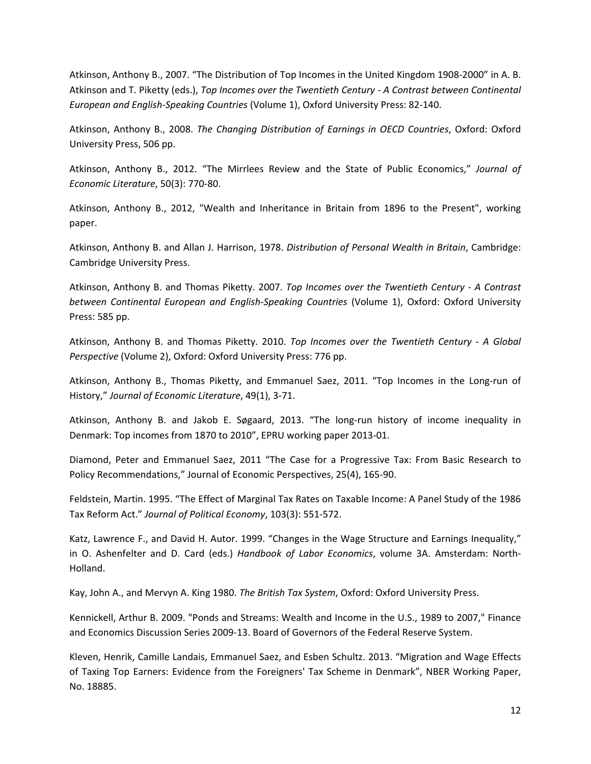Atkinson, Anthony B., 2007. "The Distribution of Top Incomes in the United Kingdom 1908‐2000" in A. B. Atkinson and T. Piketty (eds.), *Top Incomes over the Twentieth Century ‐ A Contrast between Continental European and English‐Speaking Countries* (Volume 1), Oxford University Press: 82‐140.

Atkinson, Anthony B., 2008. *The Changing Distribution of Earnings in OECD Countries*, Oxford: Oxford University Press, 506 pp.

Atkinson, Anthony B., 2012. "The Mirrlees Review and the State of Public Economics," *Journal of Economic Literature*, 50(3): 770‐80.

Atkinson, Anthony B., 2012, "Wealth and Inheritance in Britain from 1896 to the Present", working paper.

Atkinson, Anthony B. and Allan J. Harrison, 1978. *Distribution of Personal Wealth in Britain*, Cambridge: Cambridge University Press.

Atkinson, Anthony B. and Thomas Piketty. 2007. *Top Incomes over the Twentieth Century ‐ A Contrast between Continental European and English‐Speaking Countries* (Volume 1), Oxford: Oxford University Press: 585 pp.

Atkinson, Anthony B. and Thomas Piketty. 2010. *Top Incomes over the Twentieth Century ‐ A Global Perspective* (Volume 2), Oxford: Oxford University Press: 776 pp.

Atkinson, Anthony B., Thomas Piketty, and Emmanuel Saez, 2011. "Top Incomes in the Long‐run of History," *Journal of Economic Literature*, 49(1), 3‐71.

Atkinson, Anthony B. and Jakob E. Søgaard, 2013. "The long-run history of income inequality in Denmark: Top incomes from 1870 to 2010", EPRU working paper 2013‐01.

Diamond, Peter and Emmanuel Saez, 2011 "The Case for a Progressive Tax: From Basic Research to Policy Recommendations," Journal of Economic Perspectives, 25(4), 165‐90.

Feldstein, Martin. 1995. "The Effect of Marginal Tax Rates on Taxable Income: A Panel Study of the 1986 Tax Reform Act." *Journal of Political Economy*, 103(3): 551‐572.

Katz, Lawrence F., and David H. Autor. 1999. "Changes in the Wage Structure and Earnings Inequality," in O. Ashenfelter and D. Card (eds.) *Handbook of Labor Economics*, volume 3A. Amsterdam: North‐ Holland.

Kay, John A., and Mervyn A. King 1980. *The British Tax System*, Oxford: Oxford University Press.

Kennickell, Arthur B. 2009. "Ponds and Streams: Wealth and Income in the U.S., 1989 to 2007," Finance and Economics Discussion Series 2009‐13. Board of Governors of the Federal Reserve System.

Kleven, Henrik, Camille Landais, Emmanuel Saez, and Esben Schultz. 2013. "Migration and Wage Effects of Taxing Top Earners: Evidence from the Foreigners' Tax Scheme in Denmark", NBER Working Paper, No. 18885.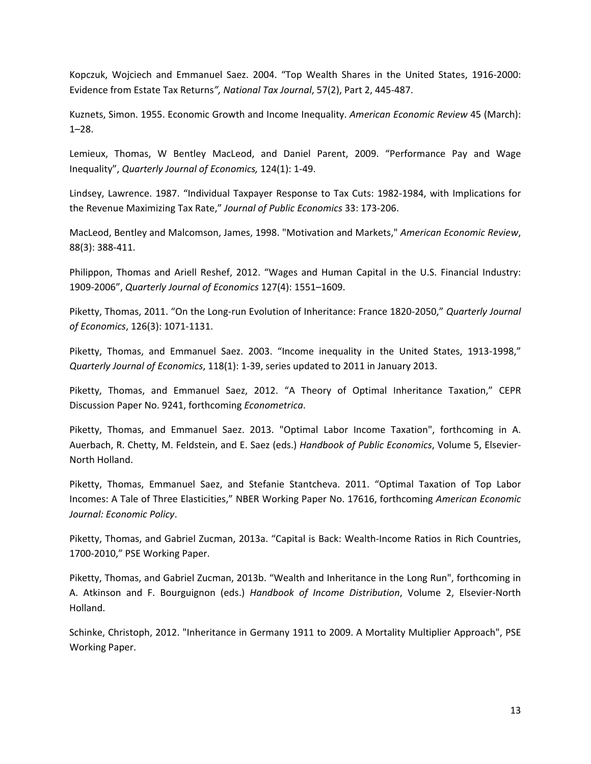Kopczuk, Wojciech and Emmanuel Saez. 2004. "Top Wealth Shares in the United States, 1916‐2000: Evidence from Estate Tax Returns*", National Tax Journal*, 57(2), Part 2, 445‐487.

Kuznets, Simon. 1955. Economic Growth and Income Inequality. *American Economic Review* 45 (March): 1–28.

Lemieux, Thomas, W Bentley MacLeod, and Daniel Parent, 2009. "Performance Pay and Wage Inequality", *Quarterly Journal of Economics,* 124(1): 1‐49.

Lindsey, Lawrence. 1987. "Individual Taxpayer Response to Tax Cuts: 1982‐1984, with Implications for the Revenue Maximizing Tax Rate," *Journal of Public Economics* 33: 173‐206.

MacLeod, Bentley and Malcomson, James, 1998. "Motivation and Markets," *American Economic Review*, 88(3): 388‐411.

Philippon, Thomas and Ariell Reshef, 2012. "Wages and Human Capital in the U.S. Financial Industry: 1909‐2006", *Quarterly Journal of Economics* 127(4): 1551–1609.

Piketty, Thomas, 2011. "On the Long‐run Evolution of Inheritance: France 1820‐2050," *Quarterly Journal of Economics*, 126(3): 1071‐1131.

Piketty, Thomas, and Emmanuel Saez. 2003. "Income inequality in the United States, 1913‐1998," *Quarterly Journal of Economics*, 118(1): 1‐39, series updated to 2011 in January 2013.

Piketty, Thomas, and Emmanuel Saez, 2012. "A Theory of Optimal Inheritance Taxation," CEPR Discussion Paper No. 9241, forthcoming *Econometrica*.

Piketty, Thomas, and Emmanuel Saez. 2013. "Optimal Labor Income Taxation", forthcoming in A. Auerbach, R. Chetty, M. Feldstein, and E. Saez (eds.) *Handbook of Public Economics*, Volume 5, Elsevier‐ North Holland.

Piketty, Thomas, Emmanuel Saez, and Stefanie Stantcheva. 2011. "Optimal Taxation of Top Labor Incomes: A Tale of Three Elasticities," NBER Working Paper No. 17616, forthcoming *American Economic Journal: Economic Policy*.

Piketty, Thomas, and Gabriel Zucman, 2013a. "Capital is Back: Wealth‐Income Ratios in Rich Countries, 1700‐2010," PSE Working Paper.

Piketty, Thomas, and Gabriel Zucman, 2013b. "Wealth and Inheritance in the Long Run", forthcoming in A. Atkinson and F. Bourguignon (eds.) *Handbook of Income Distribution*, Volume 2, Elsevier‐North Holland.

Schinke, Christoph, 2012. "Inheritance in Germany 1911 to 2009. A Mortality Multiplier Approach", PSE Working Paper.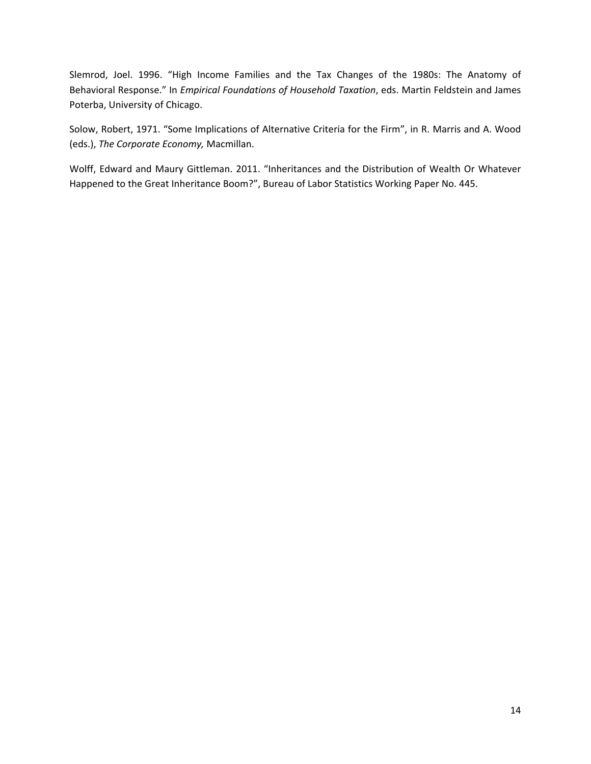Slemrod, Joel. 1996. "High Income Families and the Tax Changes of the 1980s: The Anatomy of Behavioral Response." In *Empirical Foundations of Household Taxation*, eds. Martin Feldstein and James Poterba, University of Chicago.

Solow, Robert, 1971. "Some Implications of Alternative Criteria for the Firm", in R. Marris and A. Wood (eds.), *The Corporate Economy,* Macmillan.

Wolff, Edward and Maury Gittleman. 2011. "Inheritances and the Distribution of Wealth Or Whatever Happened to the Great Inheritance Boom?", Bureau of Labor Statistics Working Paper No. 445.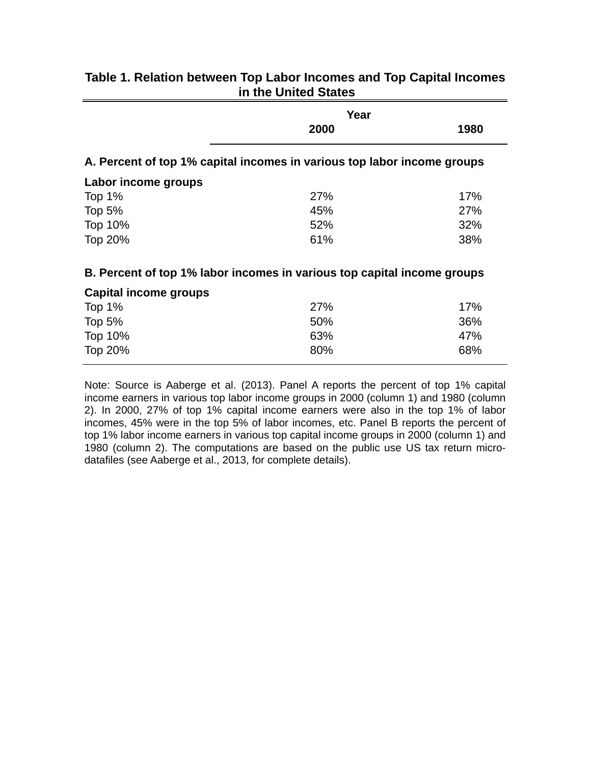|                                                                         | Year |      |
|-------------------------------------------------------------------------|------|------|
|                                                                         | 2000 | 1980 |
| A. Percent of top 1% capital incomes in various top labor income groups |      |      |
| Labor income groups                                                     |      |      |
| Top $1%$                                                                | 27%  | 17%  |
| Top $5%$                                                                | 45%  | 27%  |
| Top 10%                                                                 | 52%  | 32%  |
| Top 20%                                                                 | 61%  | 38%  |
| B. Percent of top 1% labor incomes in various top capital income groups |      |      |
| Capital income groups                                                   |      |      |

# **Table 1. Relation between Top Labor Incomes and Top Capital Incomes in the United States**

# Top 1% 27% 17% Top 5% 50% 36% Top 10% 63% 47% Top 20% 68%

Note: Source is Aaberge et al. (2013). Panel A reports the percent of top 1% capital income earners in various top labor income groups in 2000 (column 1) and 1980 (column 2). In 2000, 27% of top 1% capital income earners were also in the top 1% of labor incomes, 45% were in the top 5% of labor incomes, etc. Panel B reports the percent of top 1% labor income earners in various top capital income groups in 2000 (column 1) and 1980 (column 2). The computations are based on the public use US tax return microdatafiles (see Aaberge et al., 2013, for complete details).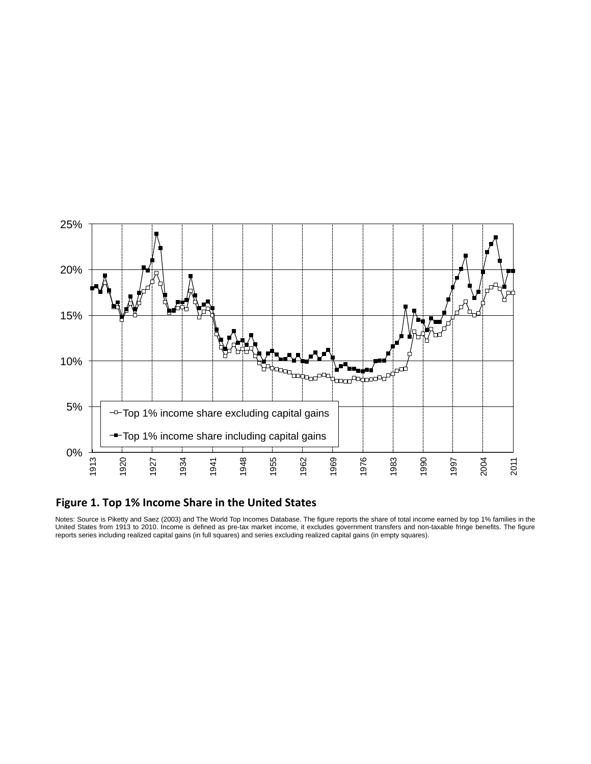

# **Figure 1. Top 1% Income Share in the United States**

Notes: Source is Piketty and Saez (2003) and The World Top Incomes Database. The figure reports the share of total income earned by top 1% families in the United States from 1913 to 2010. Income is defined as pre-tax market income, it excludes government transfers and non-taxable fringe benefits. The figure reports series including realized capital gains (in full squares) and series excluding realized capital gains (in empty squares).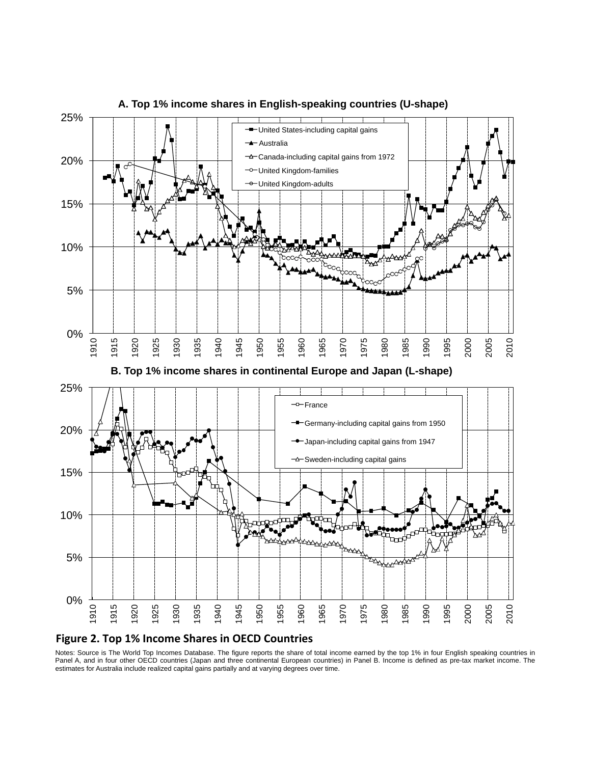

**A. Top 1% income shares in English-speaking countries (U-shape)** 

#### **Figure 2. Top 1% Income Shares in OECD Countries**

Notes: Source is The World Top Incomes Database. The figure reports the share of total income earned by the top 1% in four English speaking countries in Panel A, and in four other OECD countries (Japan and three continental European countries) in Panel B. Income is defined as pre-tax market income. The estimates for Australia include realized capital gains partially and at varying degrees over time.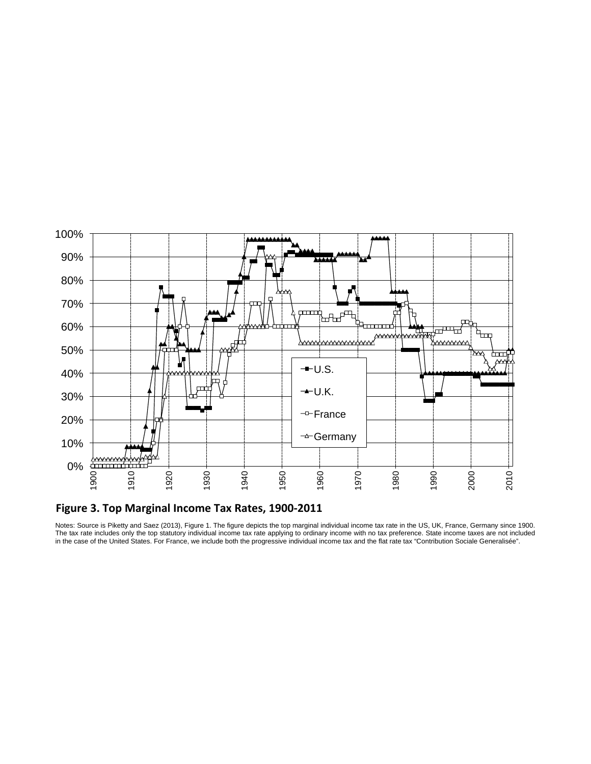

Figure 3. Top Marginal Income Tax Rates, 1900-2011

Notes: Source is Piketty and Saez (2013), Figure 1. The figure depicts the top marginal individual income tax rate in the US, UK, France, Germany since 1900. The tax rate includes only the top statutory individual income tax rate applying to ordinary income with no tax preference. State income taxes are not included in the case of the United States. For France, we include both the progressive individual income tax and the flat rate tax "Contribution Sociale Generalisée".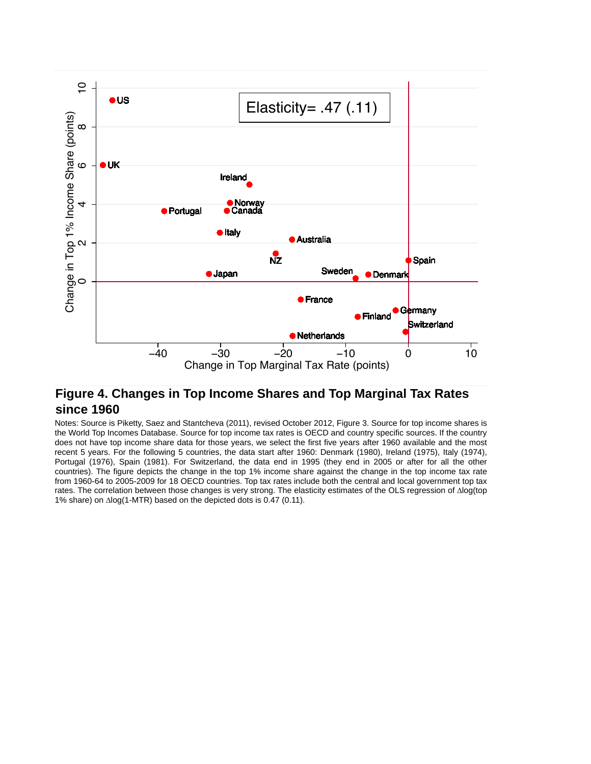

# **Figure 4. Changes in Top Income Shares and Top Marginal Tax Rates since 1960**

Notes: Source is Piketty, Saez and Stantcheva (2011), revised October 2012, Figure 3. Source for top income shares is the World Top Incomes Database. Source for top income tax rates is OECD and country specific sources. If the country does not have top income share data for those years, we select the first five years after 1960 available and the most recent 5 years. For the following 5 countries, the data start after 1960: Denmark (1980), Ireland (1975), Italy (1974), Portugal (1976), Spain (1981). For Switzerland, the data end in 1995 (they end in 2005 or after for all the other countries). The figure depicts the change in the top 1% income share against the change in the top income tax rate from 1960-64 to 2005-2009 for 18 OECD countries. Top tax rates include both the central and local government top tax rates. The correlation between those changes is very strong. The elasticity estimates of the OLS regression of ∆log(top 1% share) on ∆log(1-MTR) based on the depicted dots is 0.47 (0.11).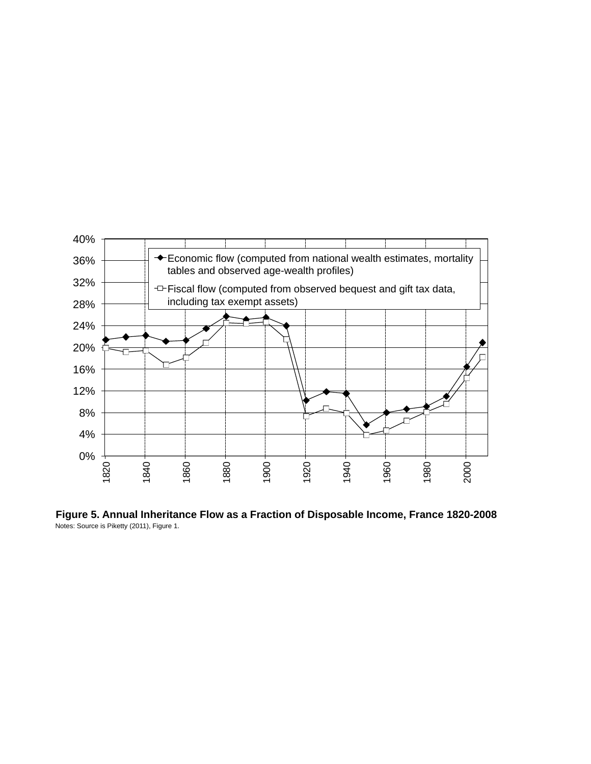

Notes: Source is Piketty (2011), Figure 1. **Figure 5. Annual Inheritance Flow as a Fraction of Disposable Income, France 1820-2008**